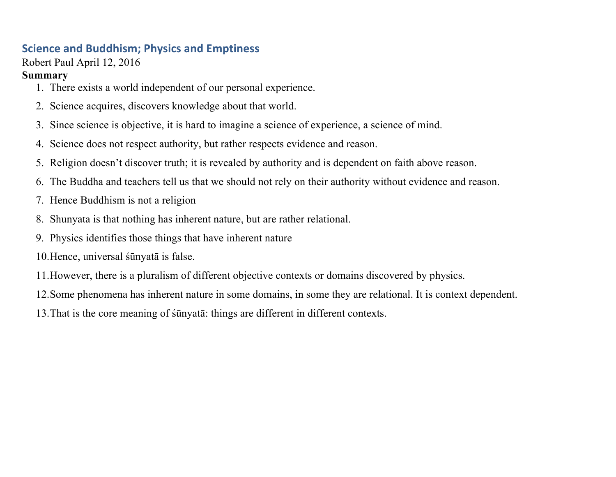## **Science and Buddhism; Physics and Emptiness**

Robert Paul April 12, 2016

### **Summary**

- 1. There exists a world independent of our personal experience.
- 2. Science acquires, discovers knowledge about that world.
- 3. Since science is objective, it is hard to imagine a science of experience, a science of mind.
- 4. Science does not respect authority, but rather respects evidence and reason.
- 5. Religion doesn't discover truth; it is revealed by authority and is dependent on faith above reason.
- 6. The Buddha and teachers tell us that we should not rely on their authority without evidence and reason.
- 7. Hence Buddhism is not a religion
- 8. Shunyata is that nothing has inherent nature, but are rather relational.
- 9. Physics identifies those things that have inherent nature
- 10.Hence, universal śūnyatā is false.
- 11.However, there is a pluralism of different objective contexts or domains discovered by physics.
- 12.Some phenomena has inherent nature in some domains, in some they are relational. It is context dependent.
- 13.That is the core meaning of śūnyatā: things are different in different contexts.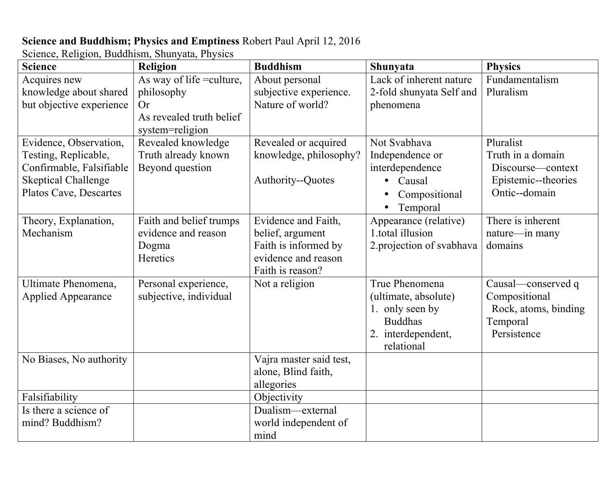# **Science and Buddhism; Physics and Emptiness** Robert Paul April 12, 2016

Science, Religion, Buddhism, Shunyata, Physics

| <b>Science</b>             | Religion                  | <b>Buddhism</b>         | Shunyata                   | <b>Physics</b>       |
|----------------------------|---------------------------|-------------------------|----------------------------|----------------------|
| Acquires new               | As way of life = culture, | About personal          | Lack of inherent nature    | Fundamentalism       |
| knowledge about shared     | philosophy                | subjective experience.  | 2-fold shunyata Self and   | Pluralism            |
| but objective experience   | <b>Or</b>                 | Nature of world?        | phenomena                  |                      |
|                            | As revealed truth belief  |                         |                            |                      |
|                            | system=religion           |                         |                            |                      |
| Evidence, Observation,     | Revealed knowledge        | Revealed or acquired    | Not Svabhava               | Pluralist            |
| Testing, Replicable,       | Truth already known       | knowledge, philosophy?  | Independence or            | Truth in a domain    |
| Confirmable, Falsifiable   | Beyond question           |                         | interdependence            | Discourse—context    |
| <b>Skeptical Challenge</b> |                           | Authority--Quotes       | • Causal                   | Epistemic--theories  |
| Platos Cave, Descartes     |                           |                         | Compositional<br>$\bullet$ | Ontic--domain        |
|                            |                           |                         | Temporal<br>$\bullet$      |                      |
| Theory, Explanation,       | Faith and belief trumps   | Evidence and Faith,     | Appearance (relative)      | There is inherent    |
| Mechanism                  | evidence and reason       | belief, argument        | 1.total illusion           | nature-in many       |
|                            | Dogma                     | Faith is informed by    | 2. projection of svabhava  | domains              |
|                            | Heretics                  | evidence and reason     |                            |                      |
|                            |                           | Faith is reason?        |                            |                      |
| Ultimate Phenomena,        | Personal experience,      | Not a religion          | True Phenomena             | Causal—conserved q   |
| <b>Applied Appearance</b>  | subjective, individual    |                         | (ultimate, absolute)       | Compositional        |
|                            |                           |                         | 1. only seen by            | Rock, atoms, binding |
|                            |                           |                         | <b>Buddhas</b>             | Temporal             |
|                            |                           |                         | 2. interdependent,         | Persistence          |
|                            |                           |                         | relational                 |                      |
| No Biases, No authority    |                           | Vajra master said test, |                            |                      |
|                            |                           | alone, Blind faith,     |                            |                      |
|                            |                           | allegories              |                            |                      |
| Falsifiability             |                           | Objectivity             |                            |                      |
| Is there a science of      |                           | Dualism—external        |                            |                      |
| mind? Buddhism?            |                           | world independent of    |                            |                      |
|                            |                           | mind                    |                            |                      |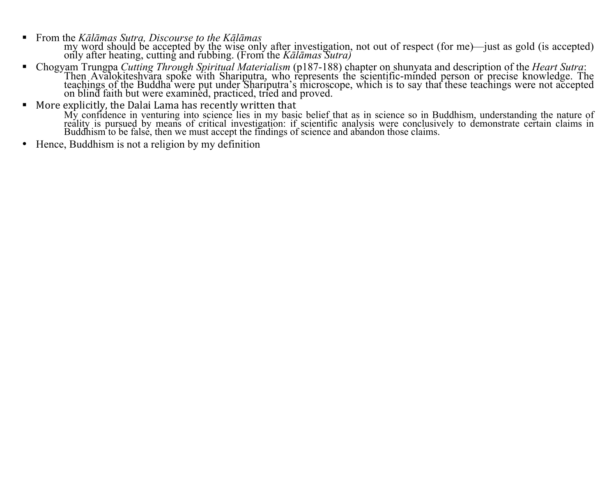! From the *Kālāmas Sutra, Discourse to the Kālāmas*

my word should be accepted by the wise only after investigation, not out of respect (for me)—just as gold (is accepted) only after heating, cutting and rubbing. (From the *Kālāmas Sutra)*

- ! Chogyam Trungpa *Cutting Through Spiritual Materialism* (p187-188) chapter on shunyata and description of the *Heart Sutra*: Then Avalokiteshvara spoke with Shariputra, who represents the scientific-minded person or precise knowledge. The<br>teachings of the Buddha were put under Shariputra's microscope, which is to say that these teachings were no
- $\blacksquare$  More explicitly, the Dalai Lama has recently written that

My confidence in venturing into science lies in my basic belief that as in science so in Buddhism, understanding the nature of<br>reality is pursued by means of critical investigation: if scientific analysis were conclusively Buddhism to be false, then we must accept the findings of science and abandon those claims.

• Hence, Buddhism is not a religion by my definition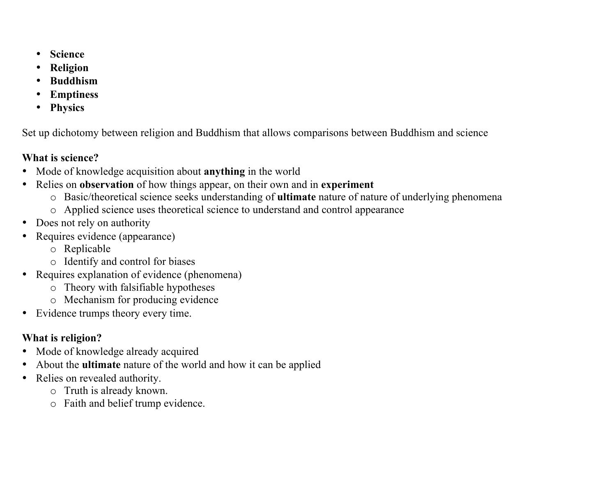- **Science**
- **Religion**
- **Buddhism**
- **Emptiness**
- **Physics**

Set up dichotomy between religion and Buddhism that allows comparisons between Buddhism and science

## **What is science?**

- Mode of knowledge acquisition about **anything** in the world
- Relies on **observation** of how things appear, on their own and in **experiment**
	- o Basic/theoretical science seeks understanding of **ultimate** nature of nature of underlying phenomena
	- o Applied science uses theoretical science to understand and control appearance
- Does not rely on authority
- Requires evidence (appearance)
	- o Replicable
	- o Identify and control for biases
- Requires explanation of evidence (phenomena)
	- o Theory with falsifiable hypotheses
	- o Mechanism for producing evidence
- Evidence trumps theory every time.

# **What is religion?**

- Mode of knowledge already acquired
- About the **ultimate** nature of the world and how it can be applied
- Relies on revealed authority.
	- o Truth is already known.
	- o Faith and belief trump evidence.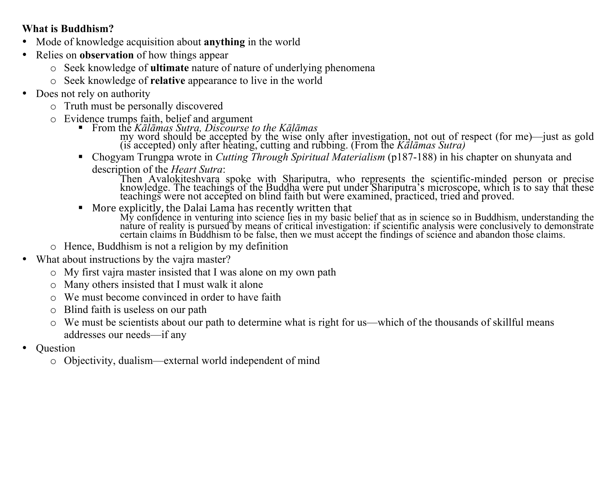### **What is Buddhism?**

- Mode of knowledge acquisition about **anything** in the world
- Relies on **observation** of how things appear
	- o Seek knowledge of **ultimate** nature of nature of underlying phenomena
	- o Seek knowledge of **relative** appearance to live in the world
- Does not rely on authority
	- o Truth must be personally discovered
	-
	- <sup>o</sup> Evidence trumps faith, belief and argument ! From the *Kālāmas Sutra, Discourse to the Kālāmas*

my word should be accepted by the wise only after investigation, not out of respect (for me)—just as gold (is accepted) only after heating, cutting and rubbing. (From the *Kālāmas Sutra)*

! Chogyam Trungpa wrote in *Cutting Through Spiritual Materialism* (p187-188) in his chapter on shunyata and description of the *Heart Sutra*:

Then Avalokiteshvara spoke with Shariputra, who represents the scientific-minded person or precise<br>knowledge. The teachings of the Buddha were put under Shariputra's microscope, which is to say that these<br>teachings were no

 $\blacksquare$  More explicitly, the Dalai Lama has recently written that

My confidence in venturing into science lies in my basic belief that as in science so in Buddhism, understanding the<br>nature of reality is pursued by means of critical investigation: if scientific analysis were conclusively certain claims in Buddhism to be false, then we must accept the findings of science and abandon those claims.

- o Hence, Buddhism is not a religion by my definition
- What about instructions by the vajra master?
	- o My first vajra master insisted that I was alone on my own path
	- o Many others insisted that I must walk it alone
	- o We must become convinced in order to have faith
	- o Blind faith is useless on our path
	- o We must be scientists about our path to determine what is right for us—which of the thousands of skillful means addresses our needs—if any
- Question
	- o Objectivity, dualism—external world independent of mind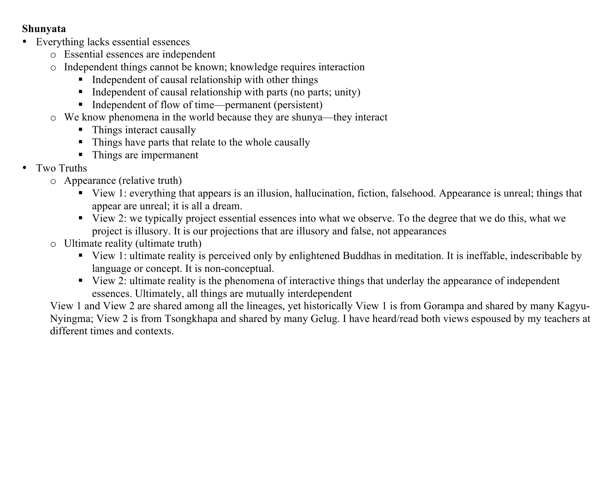### **Shunyata**

- Everything lacks essential essences
	- o Essential essences are independent
	- o Independent things cannot be known; knowledge requires interaction
		- ! Independent of causal relationship with other things
		- ! Independent of causal relationship with parts (no parts; unity)
		- ! Independent of flow of time—permanent (persistent)
	- o We know phenomena in the world because they are shunya—they interact
		- Things interact causally
		- ! Things have parts that relate to the whole causally
		- ! Things are impermanent
- Two Truths
	- o Appearance (relative truth)
		- ! View 1: everything that appears is an illusion, hallucination, fiction, falsehood. Appearance is unreal; things that appear are unreal; it is all a dream.
		- ! View 2: we typically project essential essences into what we observe. To the degree that we do this, what we project is illusory. It is our projections that are illusory and false, not appearances
	- o Ultimate reality (ultimate truth)
		- ! View 1: ultimate reality is perceived only by enlightened Buddhas in meditation. It is ineffable, indescribable by language or concept. It is non-conceptual.
		- ! View 2: ultimate reality is the phenomena of interactive things that underlay the appearance of independent essences. Ultimately, all things are mutually interdependent

View 1 and View 2 are shared among all the lineages, yet historically View 1 is from Gorampa and shared by many Kagyu-Nyingma; View 2 is from Tsongkhapa and shared by many Gelug. I have heard/read both views espoused by my teachers at different times and contexts.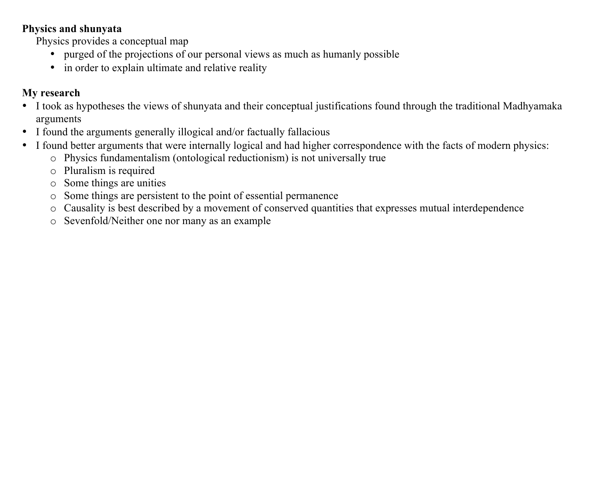### **Physics and shunyata**

Physics provides a conceptual map

- purged of the projections of our personal views as much as humanly possible
- in order to explain ultimate and relative reality

## **My research**

- I took as hypotheses the views of shunyata and their conceptual justifications found through the traditional Madhyamaka arguments
- I found the arguments generally illogical and/or factually fallacious
- I found better arguments that were internally logical and had higher correspondence with the facts of modern physics:
	- o Physics fundamentalism (ontological reductionism) is not universally true
	- o Pluralism is required
	- o Some things are unities
	- o Some things are persistent to the point of essential permanence
	- o Causality is best described by a movement of conserved quantities that expresses mutual interdependence
	- o Sevenfold/Neither one nor many as an example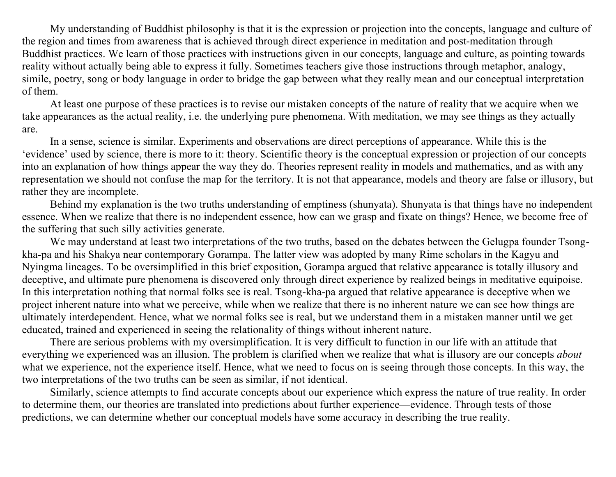My understanding of Buddhist philosophy is that it is the expression or projection into the concepts, language and culture of the region and times from awareness that is achieved through direct experience in meditation and post-meditation through Buddhist practices. We learn of those practices with instructions given in our concepts, language and culture, as pointing towards reality without actually being able to express it fully. Sometimes teachers give those instructions through metaphor, analogy, simile, poetry, song or body language in order to bridge the gap between what they really mean and our conceptual interpretation of them.

At least one purpose of these practices is to revise our mistaken concepts of the nature of reality that we acquire when we take appearances as the actual reality, i.e. the underlying pure phenomena. With meditation, we may see things as they actually are.

In a sense, science is similar. Experiments and observations are direct perceptions of appearance. While this is the 'evidence' used by science, there is more to it: theory. Scientific theory is the conceptual expression or projection of our concepts into an explanation of how things appear the way they do. Theories represent reality in models and mathematics, and as with any representation we should not confuse the map for the territory. It is not that appearance, models and theory are false or illusory, but rather they are incomplete.

Behind my explanation is the two truths understanding of emptiness (shunyata). Shunyata is that things have no independent essence. When we realize that there is no independent essence, how can we grasp and fixate on things? Hence, we become free of the suffering that such silly activities generate.

We may understand at least two interpretations of the two truths, based on the debates between the Gelugpa founder Tsongkha-pa and his Shakya near contemporary Gorampa. The latter view was adopted by many Rime scholars in the Kagyu and Nyingma lineages. To be oversimplified in this brief exposition, Gorampa argued that relative appearance is totally illusory and deceptive, and ultimate pure phenomena is discovered only through direct experience by realized beings in meditative equipoise. In this interpretation nothing that normal folks see is real. Tsong-kha-pa argued that relative appearance is deceptive when we project inherent nature into what we perceive, while when we realize that there is no inherent nature we can see how things are ultimately interdependent. Hence, what we normal folks see is real, but we understand them in a mistaken manner until we get educated, trained and experienced in seeing the relationality of things without inherent nature.

There are serious problems with my oversimplification. It is very difficult to function in our life with an attitude that everything we experienced was an illusion. The problem is clarified when we realize that what is illusory are our concepts *about* what we experience, not the experience itself. Hence, what we need to focus on is seeing through those concepts. In this way, the two interpretations of the two truths can be seen as similar, if not identical.

Similarly, science attempts to find accurate concepts about our experience which express the nature of true reality. In order to determine them, our theories are translated into predictions about further experience—evidence. Through tests of those predictions, we can determine whether our conceptual models have some accuracy in describing the true reality.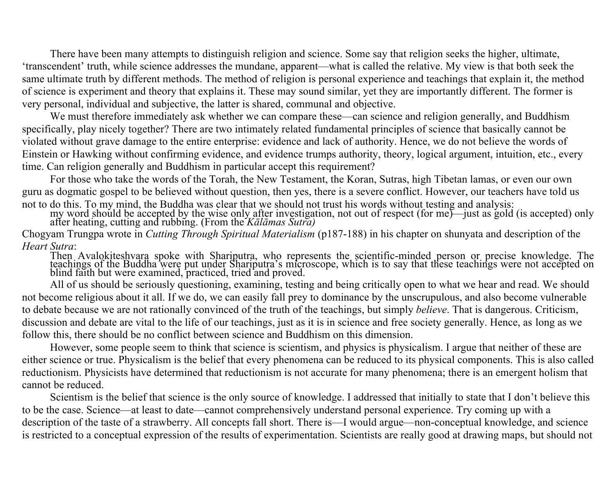There have been many attempts to distinguish religion and science. Some say that religion seeks the higher, ultimate, 'transcendent' truth, while science addresses the mundane, apparent—what is called the relative. My view is that both seek the same ultimate truth by different methods. The method of religion is personal experience and teachings that explain it, the method of science is experiment and theory that explains it. These may sound similar, yet they are importantly different. The former is very personal, individual and subjective, the latter is shared, communal and objective.

We must therefore immediately ask whether we can compare these—can science and religion generally, and Buddhism specifically, play nicely together? There are two intimately related fundamental principles of science that basically cannot be violated without grave damage to the entire enterprise: evidence and lack of authority. Hence, we do not believe the words of Einstein or Hawking without confirming evidence, and evidence trumps authority, theory, logical argument, intuition, etc., every time. Can religion generally and Buddhism in particular accept this requirement?

For those who take the words of the Torah, the New Testament, the Koran, Sutras, high Tibetan lamas, or even our own guru as dogmatic gospel to be believed without question, then yes, there is a severe conflict. However, our teachers have told us

not to do this. To my mind, the Buddha was clear that we should not trust his words without testing and analysis:<br>my word should be accepted by the wise only after investigation, not out of respect (for me)—just as gold (i

Chogyam Trungpa wrote in *Cutting Through Spiritual Materialism* (p187-188) in his chapter on shunyata and description of the *Heart Sutra*:

Then Avalokiteshvara spoke with Shariputra, who represents the scientific-minded person or precise knowledge. The teachings of the Buddha were put under Shariputra's microscope, which is to say that these teachings were no

All of us should be seriously questioning, examining, testing and being critically open to what we hear and read. We should not become religious about it all. If we do, we can easily fall prey to dominance by the unscrupulous, and also become vulnerable to debate because we are not rationally convinced of the truth of the teachings, but simply *believe*. That is dangerous. Criticism, discussion and debate are vital to the life of our teachings, just as it is in science and free society generally. Hence, as long as we follow this, there should be no conflict between science and Buddhism on this dimension.

However, some people seem to think that science is scientism, and physics is physicalism. I argue that neither of these are either science or true. Physicalism is the belief that every phenomena can be reduced to its physical components. This is also called reductionism. Physicists have determined that reductionism is not accurate for many phenomena; there is an emergent holism that cannot be reduced.

Scientism is the belief that science is the only source of knowledge. I addressed that initially to state that I don't believe this to be the case. Science—at least to date—cannot comprehensively understand personal experience. Try coming up with a description of the taste of a strawberry. All concepts fall short. There is—I would argue—non-conceptual knowledge, and science is restricted to a conceptual expression of the results of experimentation. Scientists are really good at drawing maps, but should not